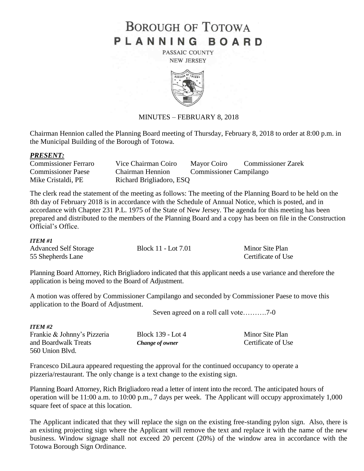# **BOROUGH OF TOTOWA** PLANNING BOARD

PASSAIC COUNTY **NEW JERSEY** 



# MINUTES – FEBRUARY 8, 2018

Chairman Hennion called the Planning Board meeting of Thursday, February 8, 2018 to order at 8:00 p.m. in the Municipal Building of the Borough of Totowa.

#### *PRESENT:*

| <b>Commissioner Ferraro</b> | Vice Chairman Coiro      | Mayor Coiro                    | <b>Commissioner Zarek</b> |
|-----------------------------|--------------------------|--------------------------------|---------------------------|
| <b>Commissioner Paese</b>   | Chairman Hennion         | <b>Commissioner Campilango</b> |                           |
| Mike Cristaldi, PE          | Richard Brigliadoro, ESQ |                                |                           |

The clerk read the statement of the meeting as follows: The meeting of the Planning Board to be held on the 8th day of February 2018 is in accordance with the Schedule of Annual Notice, which is posted, and in accordance with Chapter 231 P.L. 1975 of the State of New Jersey. The agenda for this meeting has been prepared and distributed to the members of the Planning Board and a copy has been on file in the Construction Official's Office.

#### *ITEM #1*

| <b>Advanced Self Storage</b> | Block 11 - Lot 7.01 | Minor Site Plan    |
|------------------------------|---------------------|--------------------|
| 55 Shepherds Lane            |                     | Certificate of Use |

Planning Board Attorney, Rich Brigliadoro indicated that this applicant needs a use variance and therefore the application is being moved to the Board of Adjustment.

A motion was offered by Commissioner Campilango and seconded by Commissioner Paese to move this application to the Board of Adjustment.

Seven agreed on a roll call vote……….7-0

| <b>ITEM #2</b>              |                        |                    |
|-----------------------------|------------------------|--------------------|
| Frankie & Johnny's Pizzeria | Block 139 - Lot 4      | Minor Site Plan    |
| and Boardwalk Treats        | <b>Change of owner</b> | Certificate of Use |
| 560 Union Blyd.             |                        |                    |

Francesco DiLaura appeared requesting the approval for the continued occupancy to operate a pizzeria/restaurant. The only change is a text change to the existing sign.

Planning Board Attorney, Rich Brigliadoro read a letter of intent into the record. The anticipated hours of operation will be 11:00 a.m. to 10:00 p.m., 7 days per week. The Applicant will occupy approximately 1,000 square feet of space at this location.

The Applicant indicated that they will replace the sign on the existing free-standing pylon sign. Also, there is an existing projecting sign where the Applicant will remove the text and replace it with the name of the new business. Window signage shall not exceed 20 percent (20%) of the window area in accordance with the Totowa Borough Sign Ordinance.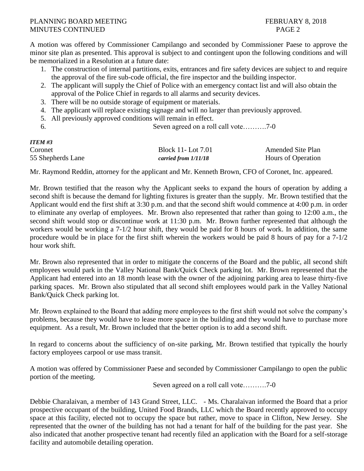# PLANNING BOARD MEETING FEBRUARY 8, 2018 MINUTES CONTINUED **PAGE 2**

A motion was offered by Commissioner Campilango and seconded by Commissioner Paese to approve the minor site plan as presented. This approval is subject to and contingent upon the following conditions and will be memorialized in a Resolution at a future date:

- 1. The construction of internal partitions, exits, entrances and fire safety devices are subject to and require the approval of the fire sub-code official, the fire inspector and the building inspector.
- 2. The applicant will supply the Chief of Police with an emergency contact list and will also obtain the approval of the Police Chief in regards to all alarms and security devices.
- 3. There will be no outside storage of equipment or materials.
- 4. The applicant will replace existing signage and will no larger than previously approved.
- 5. All previously approved conditions will remain in effect.
- 6. Seven agreed on a roll call vote……….7-0

| <b>ITEM#3</b>     |                          |                           |
|-------------------|--------------------------|---------------------------|
| Coronet           | <b>Block 11-Lot 7.01</b> | <b>Amended Site Plan</b>  |
| 55 Shepherds Lane | carried from 1/11/18     | <b>Hours of Operation</b> |

Mr. Raymond Reddin, attorney for the applicant and Mr. Kenneth Brown, CFO of Coronet, Inc. appeared.

Mr. Brown testified that the reason why the Applicant seeks to expand the hours of operation by adding a second shift is because the demand for lighting fixtures is greater than the supply. Mr. Brown testified that the Applicant would end the first shift at 3:30 p.m. and that the second shift would commence at 4:00 p.m. in order to eliminate any overlap of employees. Mr. Brown also represented that rather than going to 12:00 a.m., the second shift would stop or discontinue work at 11:30 p.m. Mr. Brown further represented that although the workers would be working a 7-1/2 hour shift, they would be paid for 8 hours of work. In addition, the same procedure would be in place for the first shift wherein the workers would be paid 8 hours of pay for a 7-1/2 hour work shift.

Mr. Brown also represented that in order to mitigate the concerns of the Board and the public, all second shift employees would park in the Valley National Bank/Quick Check parking lot. Mr. Brown represented that the Applicant had entered into an 18 month lease with the owner of the adjoining parking area to lease thirty-five parking spaces. Mr. Brown also stipulated that all second shift employees would park in the Valley National Bank/Quick Check parking lot.

Mr. Brown explained to the Board that adding more employees to the first shift would not solve the company's problems, because they would have to lease more space in the building and they would have to purchase more equipment. As a result, Mr. Brown included that the better option is to add a second shift.

In regard to concerns about the sufficiency of on-site parking, Mr. Brown testified that typically the hourly factory employees carpool or use mass transit.

A motion was offered by Commissioner Paese and seconded by Commissioner Campilango to open the public portion of the meeting.

Seven agreed on a roll call vote……….7-0

Debbie Charalaivan, a member of 143 Grand Street, LLC. - Ms. Charalaivan informed the Board that a prior prospective occupant of the building, United Food Brands, LLC which the Board recently approved to occupy space at this facility, elected not to occupy the space but rather, move to space in Clifton, New Jersey. She represented that the owner of the building has not had a tenant for half of the building for the past year. She also indicated that another prospective tenant had recently filed an application with the Board for a self-storage facility and automobile detailing operation.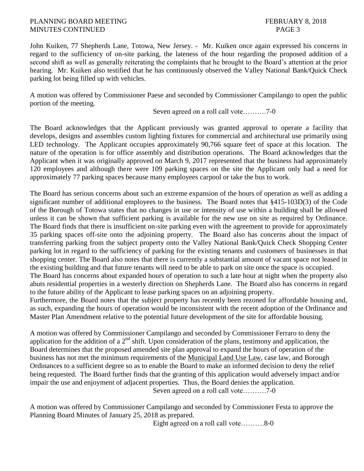## PLANNING BOARD MEETING FEBRUARY 8, 2018 MINUTES CONTINUED PAGE 3

John Kuiken, 77 Shepherds Lane, Totowa, New Jersey. - Mr. Kuiken once again expressed his concerns in regard to the sufficiency of on-site parking, the lateness of the hour regarding the proposed addition of a second shift as well as generally reiterating the complaints that he brought to the Board's attention at the prior hearing. Mr. Kuiken also testified that he has continuously observed the Valley National Bank/Quick Check parking lot being filled up with vehicles.

A motion was offered by Commissioner Paese and seconded by Commissioner Campilango to open the public portion of the meeting.

Seven agreed on a roll call vote……….7-0

The Board acknowledges that the Applicant previously was granted approval to operate a facility that develops, designs and assembles custom lighting fixtures for commercial and architectural use primarily using LED technology. The Applicant occupies approximately 90,766 square feet of space at this location. The nature of the operation is for office assembly and distribution operations. The Board acknowledges that the Applicant when it was originally approved on March 9, 2017 represented that the business had approximately 120 employees and although there were 109 parking spaces on the site the Applicant only had a need for approximately 77 parking spaces because many employees carpool or take the bus to work.

The Board has serious concerns about such an extreme expansion of the hours of operation as well as adding a significant number of additional employees to the business. The Board notes that §415-103D(3) of the Code of the Borough of Totowa states that no changes in use or intensity of use within a building shall be allowed unless it can be shown that sufficient parking is available for the new use on site as required by Ordinance. The Board finds that there is insufficient on-site parking even with the agreement to provide for approximately 35 parking spaces off-site onto the adjoining property. The Board also has concerns about the impact of transferring parking from the subject property onto the Valley National Bank/Quick Check Shopping Center parking lot in regard to the sufficiency of parking for the existing tenants and customers of businesses in that shopping center. The Board also notes that there is currently a substantial amount of vacant space not leased in the existing building and that future tenants will need to be able to park on site once the space is occupied.

The Board has concerns about expanded hours of operation to such a late hour at night when the property also abuts residential properties in a westerly direction on Shepherds Lane. The Board also has concerns in regard to the future ability of the Applicant to lease parking spaces on an adjoining property.

Furthermore, the Board notes that the subject property has recently been rezoned for affordable housing and, as such, expanding the hours of operation would be inconsistent with the recent adoption of the Ordinance and Master Plan Amendment relative to the potential future development of the site for affordable housing.

A motion was offered by Commissioner Campilango and seconded by Commissioner Ferraro to deny the application for the addition of a  $2<sup>nd</sup>$  shift. Upon consideration of the plans, testimony and application, the Board determines that the proposed amended site plan approval to expand the hours of operation of the business has not met the minimum requirements of the Municipal Land Use Law, case law, and Borough Ordinances to a sufficient degree so as to enable the Board to make an informed decision to deny the relief being requested. The Board further finds that the granting of this application would adversely impact and/or impair the use and enjoyment of adjacent properties. Thus, the Board denies the application. Seven agreed on a roll call vote……….7-0

A motion was offered by Commissioner Campilango and seconded by Commissioner Festa to approve the Planning Board Minutes of January 25, 2018 as prepared.

Eight agreed on a roll call vote……….8-0